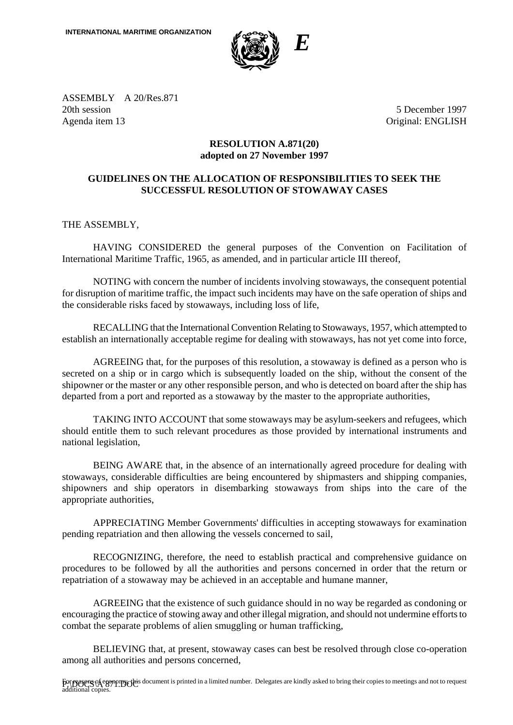

ASSEMBLY A 20/Res.871 20th session 5 December 1997 Agenda item 13 Original: ENGLISH

## **RESOLUTION A.871(20) adopted on 27 November 1997**

## **GUIDELINES ON THE ALLOCATION OF RESPONSIBILITIES TO SEEK THE SUCCESSFUL RESOLUTION OF STOWAWAY CASES**

THE ASSEMBLY,

HAVING CONSIDERED the general purposes of the Convention on Facilitation of International Maritime Traffic, 1965, as amended, and in particular article III thereof,

NOTING with concern the number of incidents involving stowaways, the consequent potential for disruption of maritime traffic, the impact such incidents may have on the safe operation of ships and the considerable risks faced by stowaways, including loss of life,

RECALLING that the International Convention Relating to Stowaways, 1957, which attempted to establish an internationally acceptable regime for dealing with stowaways, has not yet come into force,

AGREEING that, for the purposes of this resolution, a stowaway is defined as a person who is secreted on a ship or in cargo which is subsequently loaded on the ship, without the consent of the shipowner or the master or any other responsible person, and who is detected on board after the ship has departed from a port and reported as a stowaway by the master to the appropriate authorities,

TAKING INTO ACCOUNT that some stowaways may be asylum-seekers and refugees, which should entitle them to such relevant procedures as those provided by international instruments and national legislation,

BEING AWARE that, in the absence of an internationally agreed procedure for dealing with stowaways, considerable difficulties are being encountered by shipmasters and shipping companies, shipowners and ship operators in disembarking stowaways from ships into the care of the appropriate authorities,

APPRECIATING Member Governments' difficulties in accepting stowaways for examination pending repatriation and then allowing the vessels concerned to sail,

RECOGNIZING, therefore, the need to establish practical and comprehensive guidance on procedures to be followed by all the authorities and persons concerned in order that the return or repatriation of a stowaway may be achieved in an acceptable and humane manner,

AGREEING that the existence of such guidance should in no way be regarded as condoning or encouraging the practice of stowing away and other illegal migration, and should not undermine efforts to combat the separate problems of alien smuggling or human trafficking,

BELIEVING that, at present, stowaway cases can best be resolved through close co-operation among all authorities and persons concerned,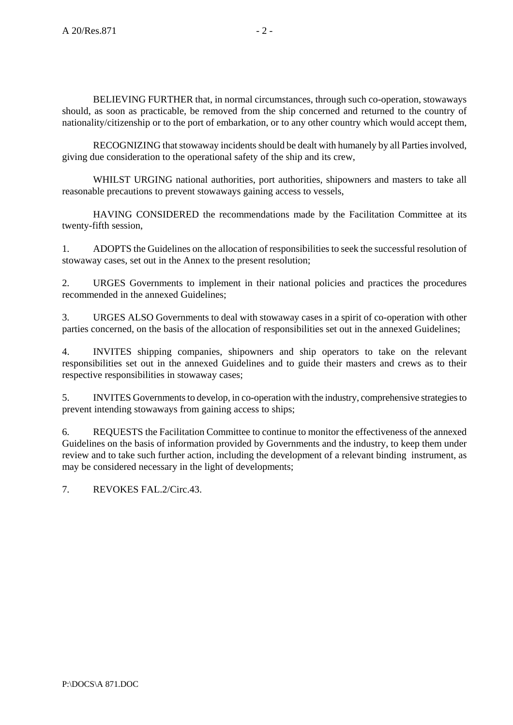BELIEVING FURTHER that, in normal circumstances, through such co-operation, stowaways should, as soon as practicable, be removed from the ship concerned and returned to the country of nationality/citizenship or to the port of embarkation, or to any other country which would accept them,

RECOGNIZING that stowaway incidents should be dealt with humanely by all Parties involved, giving due consideration to the operational safety of the ship and its crew,

WHILST URGING national authorities, port authorities, shipowners and masters to take all reasonable precautions to prevent stowaways gaining access to vessels,

HAVING CONSIDERED the recommendations made by the Facilitation Committee at its twenty-fifth session,

1. ADOPTS the Guidelines on the allocation of responsibilities to seek the successful resolution of stowaway cases, set out in the Annex to the present resolution;

2. URGES Governments to implement in their national policies and practices the procedures recommended in the annexed Guidelines;

3. URGES ALSO Governments to deal with stowaway cases in a spirit of co-operation with other parties concerned, on the basis of the allocation of responsibilities set out in the annexed Guidelines;

4. INVITES shipping companies, shipowners and ship operators to take on the relevant responsibilities set out in the annexed Guidelines and to guide their masters and crews as to their respective responsibilities in stowaway cases;

5. INVITES Governments to develop, in co-operation with the industry, comprehensive strategies to prevent intending stowaways from gaining access to ships;

6. REQUESTS the Facilitation Committee to continue to monitor the effectiveness of the annexed Guidelines on the basis of information provided by Governments and the industry, to keep them under review and to take such further action, including the development of a relevant binding instrument, as may be considered necessary in the light of developments;

7. REVOKES FAL.2/Circ.43.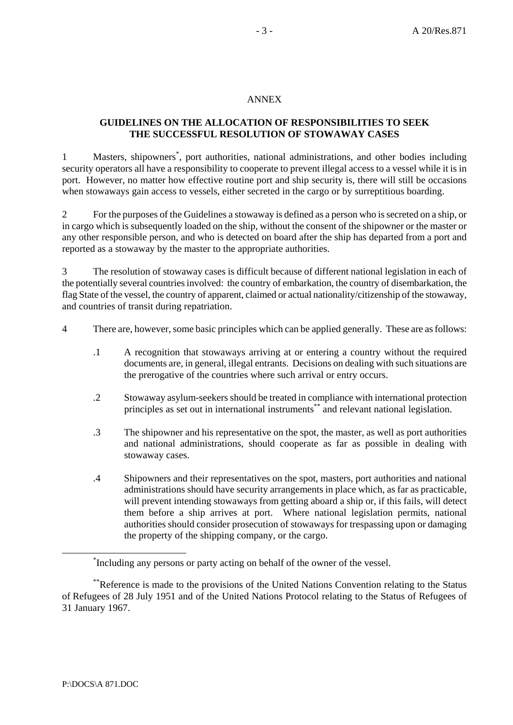#### ANNEX

# **GUIDELINES ON THE ALLOCATION OF RESPONSIBILITIES TO SEEK THE SUCCESSFUL RESOLUTION OF STOWAWAY CASES**

1 Masters, shipowners<sup>\*</sup>, port authorities, national administrations, and other bodies including security operators all have a responsibility to cooperate to prevent illegal access to a vessel while it is in port. However, no matter how effective routine port and ship security is, there will still be occasions when stowaways gain access to vessels, either secreted in the cargo or by surreptitious boarding.

2 For the purposes of the Guidelines a stowaway is defined as a person who is secreted on a ship, or in cargo which is subsequently loaded on the ship, without the consent of the shipowner or the master or any other responsible person, and who is detected on board after the ship has departed from a port and reported as a stowaway by the master to the appropriate authorities.

3 The resolution of stowaway cases is difficult because of different national legislation in each of the potentially several countries involved: the country of embarkation, the country of disembarkation, the flag State of the vessel, the country of apparent, claimed or actual nationality/citizenship of the stowaway, and countries of transit during repatriation.

- 4 There are, however, some basic principles which can be applied generally. These are as follows:
	- .1 A recognition that stowaways arriving at or entering a country without the required documents are, in general, illegal entrants. Decisions on dealing with such situations are the prerogative of the countries where such arrival or entry occurs.
	- .2 Stowaway asylum-seekers should be treated in compliance with international protection principles as set out in international instruments\*\* and relevant national legislation.
	- .3 The shipowner and his representative on the spot, the master, as well as port authorities and national administrations, should cooperate as far as possible in dealing with stowaway cases.
	- .4 Shipowners and their representatives on the spot, masters, port authorities and national administrations should have security arrangements in place which, as far as practicable, will prevent intending stowaways from getting aboard a ship or, if this fails, will detect them before a ship arrives at port. Where national legislation permits, national authorities should consider prosecution of stowaways for trespassing upon or damaging the property of the shipping company, or the cargo.

 <sup>\*</sup> <sup>\*</sup>Including any persons or party acting on behalf of the owner of the vessel.

<sup>\*\*</sup>Reference is made to the provisions of the United Nations Convention relating to the Status of Refugees of 28 July 1951 and of the United Nations Protocol relating to the Status of Refugees of 31 January 1967.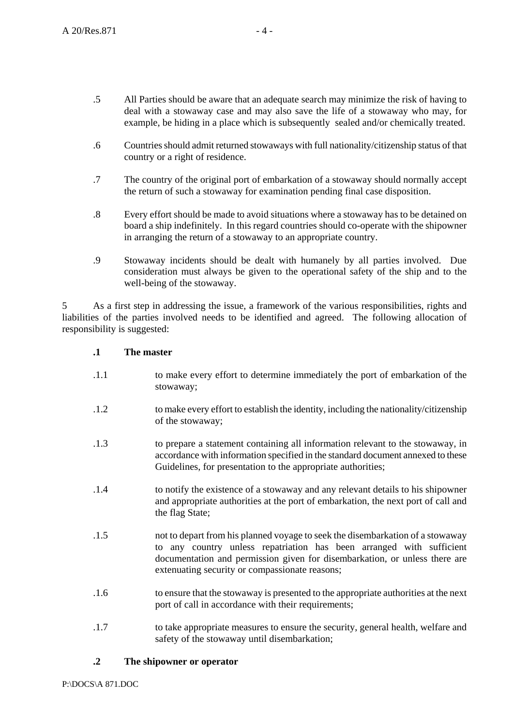- .5 All Parties should be aware that an adequate search may minimize the risk of having to deal with a stowaway case and may also save the life of a stowaway who may, for example, be hiding in a place which is subsequently sealed and/or chemically treated.
- .6 Countries should admit returned stowaways with full nationality/citizenship status of that country or a right of residence.
- .7 The country of the original port of embarkation of a stowaway should normally accept the return of such a stowaway for examination pending final case disposition.
- .8 Every effort should be made to avoid situations where a stowaway has to be detained on board a ship indefinitely. In this regard countries should co-operate with the shipowner in arranging the return of a stowaway to an appropriate country.
- .9 Stowaway incidents should be dealt with humanely by all parties involved. Due consideration must always be given to the operational safety of the ship and to the well-being of the stowaway.

5 As a first step in addressing the issue, a framework of the various responsibilities, rights and liabilities of the parties involved needs to be identified and agreed. The following allocation of responsibility is suggested:

#### **.1 The master**

- .1.1 to make every effort to determine immediately the port of embarkation of the stowaway;
- .1.2 to make every effort to establish the identity, including the nationality/citizenship of the stowaway;
- .1.3 to prepare a statement containing all information relevant to the stowaway, in accordance with information specified in the standard document annexed to these Guidelines, for presentation to the appropriate authorities;
- .1.4 to notify the existence of a stowaway and any relevant details to his shipowner and appropriate authorities at the port of embarkation, the next port of call and the flag State;
- .1.5 not to depart from his planned voyage to seek the disembarkation of a stowaway to any country unless repatriation has been arranged with sufficient documentation and permission given for disembarkation, or unless there are extenuating security or compassionate reasons;
- .1.6 to ensure that the stowaway is presented to the appropriate authorities at the next port of call in accordance with their requirements;
- .1.7 to take appropriate measures to ensure the security, general health, welfare and safety of the stowaway until disembarkation;

### **.2 The shipowner or operator**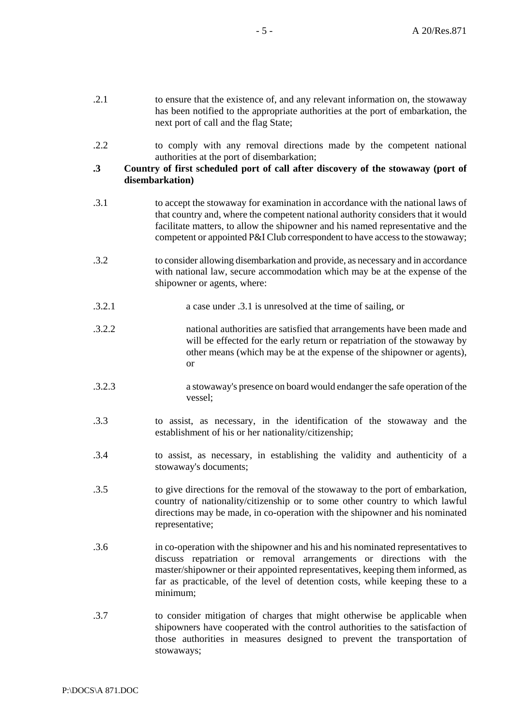| .2.1      | to ensure that the existence of, and any relevant information on, the stowaway<br>has been notified to the appropriate authorities at the port of embarkation, the<br>next port of call and the flag State;                                                                                                                            |
|-----------|----------------------------------------------------------------------------------------------------------------------------------------------------------------------------------------------------------------------------------------------------------------------------------------------------------------------------------------|
| .2.2      | to comply with any removal directions made by the competent national<br>authorities at the port of disembarkation;                                                                                                                                                                                                                     |
| $\cdot$ 3 | Country of first scheduled port of call after discovery of the stowaway (port of<br>disembarkation)                                                                                                                                                                                                                                    |
| .3.1      | to accept the stowaway for examination in accordance with the national laws of<br>that country and, where the competent national authority considers that it would<br>facilitate matters, to allow the shipowner and his named representative and the<br>competent or appointed P&I Club correspondent to have access to the stowaway; |
| .3.2      | to consider allowing disembarkation and provide, as necessary and in accordance<br>with national law, secure accommodation which may be at the expense of the<br>shipowner or agents, where:                                                                                                                                           |
| .3.2.1    | a case under .3.1 is unresolved at the time of sailing, or                                                                                                                                                                                                                                                                             |
| .3.2.2    | national authorities are satisfied that arrangements have been made and<br>will be effected for the early return or repatriation of the stowaway by<br>other means (which may be at the expense of the shipowner or agents),<br><sub>or</sub>                                                                                          |
| .3.2.3    | a stowaway's presence on board would endanger the safe operation of the<br>vessel;                                                                                                                                                                                                                                                     |
| .3.3      | to assist, as necessary, in the identification of the stowaway and the<br>establishment of his or her nationality/citizenship;                                                                                                                                                                                                         |
| .3.4      | to assist, as necessary, in establishing the validity and authenticity of a<br>stowaway's documents;                                                                                                                                                                                                                                   |
| .3.5      | to give directions for the removal of the stowaway to the port of embarkation,<br>country of nationality/citizenship or to some other country to which lawful<br>directions may be made, in co-operation with the shipowner and his nominated<br>representative;                                                                       |
| .3.6      | in co-operation with the shipowner and his and his nominated representatives to<br>discuss repatriation or removal arrangements or directions with the<br>master/shipowner or their appointed representatives, keeping them informed, as<br>far as practicable, of the level of detention costs, while keeping these to a<br>minimum;  |
| .3.7      | to consider mitigation of charges that might otherwise be applicable when<br>shipowners have cooperated with the control authorities to the satisfaction of<br>those authorities in measures designed to prevent the transportation of<br>stowaways;                                                                                   |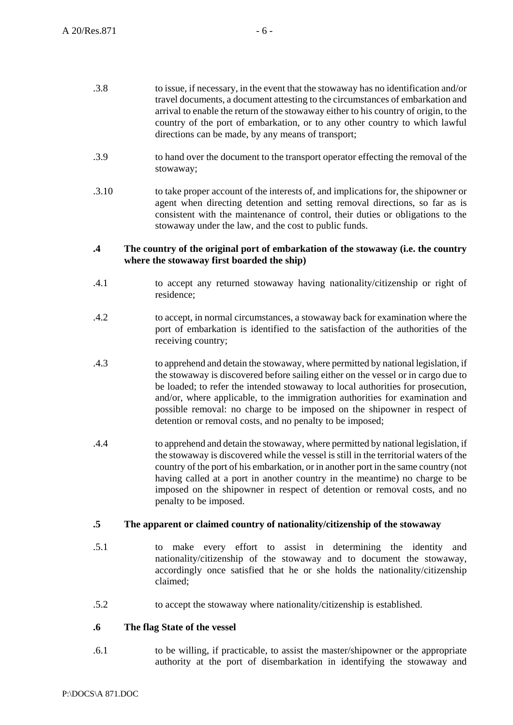- .3.8 to issue, if necessary, in the event that the stowaway has no identification and/or travel documents, a document attesting to the circumstances of embarkation and arrival to enable the return of the stowaway either to his country of origin, to the country of the port of embarkation, or to any other country to which lawful directions can be made, by any means of transport;
- .3.9 to hand over the document to the transport operator effecting the removal of the stowaway;
- .3.10 to take proper account of the interests of, and implications for, the shipowner or agent when directing detention and setting removal directions, so far as is consistent with the maintenance of control, their duties or obligations to the stowaway under the law, and the cost to public funds.

#### **.4 The country of the original port of embarkation of the stowaway (i.e. the country where the stowaway first boarded the ship)**

- .4.1 to accept any returned stowaway having nationality/citizenship or right of residence;
- .4.2 to accept, in normal circumstances, a stowaway back for examination where the port of embarkation is identified to the satisfaction of the authorities of the receiving country;
- .4.3 to apprehend and detain the stowaway, where permitted by national legislation, if the stowaway is discovered before sailing either on the vessel or in cargo due to be loaded; to refer the intended stowaway to local authorities for prosecution, and/or, where applicable, to the immigration authorities for examination and possible removal: no charge to be imposed on the shipowner in respect of detention or removal costs, and no penalty to be imposed;
- .4.4 to apprehend and detain the stowaway, where permitted by national legislation, if the stowaway is discovered while the vessel is still in the territorial waters of the country of the port of his embarkation, or in another port in the same country (not having called at a port in another country in the meantime) no charge to be imposed on the shipowner in respect of detention or removal costs, and no penalty to be imposed.

## **.5 The apparent or claimed country of nationality/citizenship of the stowaway**

- .5.1 to make every effort to assist in determining the identity and nationality/citizenship of the stowaway and to document the stowaway, accordingly once satisfied that he or she holds the nationality/citizenship claimed;
- .5.2 to accept the stowaway where nationality/citizenship is established.

### **.6 The flag State of the vessel**

.6.1 to be willing, if practicable, to assist the master/shipowner or the appropriate authority at the port of disembarkation in identifying the stowaway and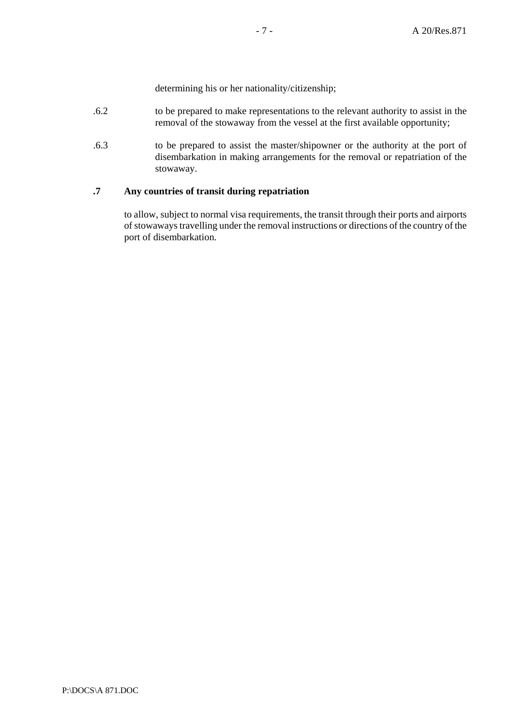determining his or her nationality/citizenship;

- .6.2 to be prepared to make representations to the relevant authority to assist in the removal of the stowaway from the vessel at the first available opportunity;
- .6.3 to be prepared to assist the master/shipowner or the authority at the port of disembarkation in making arrangements for the removal or repatriation of the stowaway.

### **.7 Any countries of transit during repatriation**

to allow, subject to normal visa requirements, the transit through their ports and airports of stowaways travelling under the removal instructions or directions of the country of the port of disembarkation.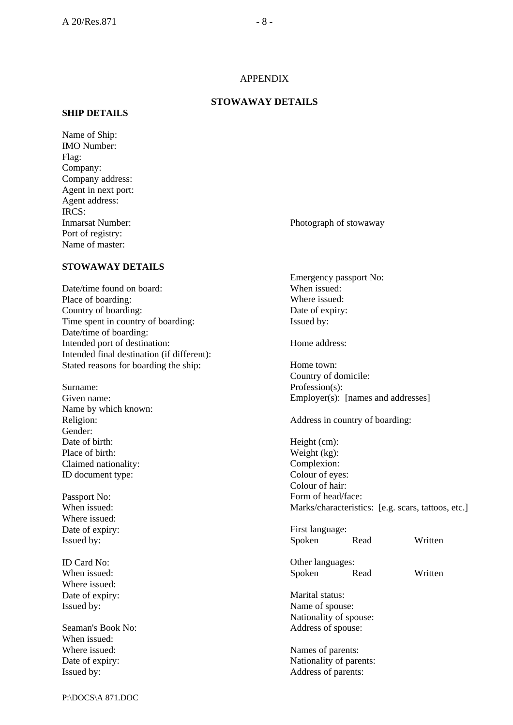#### APPENDIX

#### **STOWAWAY DETAILS**

#### **SHIP DETAILS**

Name of Ship: IMO Number: Flag: Company: Company address: Agent in next port: Agent address: IRCS: Port of registry: Name of master:

Inmarsat Number: Photograph of stowaway

## **STOWAWAY DETAILS**

Date/time found on board: Place of boarding: Country of boarding: Time spent in country of boarding: Date/time of boarding: Intended port of destination: Intended final destination (if different): Stated reasons for boarding the ship:

Surname: Given name: Name by which known: Religion: Gender: Date of birth: Place of birth: Claimed nationality: ID document type:

Passport No: When issued: Where issued: Date of expiry: Issued by:

ID Card No: When issued: Where issued: Date of expiry: Issued by:

Seaman's Book No: When issued: Where issued: Date of expiry: Issued by:

Emergency passport No: When issued: Where issued: Date of expiry: Issued by:

Home address:

Home town: Country of domicile: Profession(s): Employer(s): [names and addresses]

Address in country of boarding:

Height (cm): Weight (kg): Complexion: Colour of eyes: Colour of hair: Form of head/face: Marks/characteristics: [e.g. scars, tattoos, etc.]

First language: Spoken Read Written

Other languages: Spoken Read Written

Marital status: Name of spouse: Nationality of spouse: Address of spouse:

Names of parents: Nationality of parents: Address of parents: